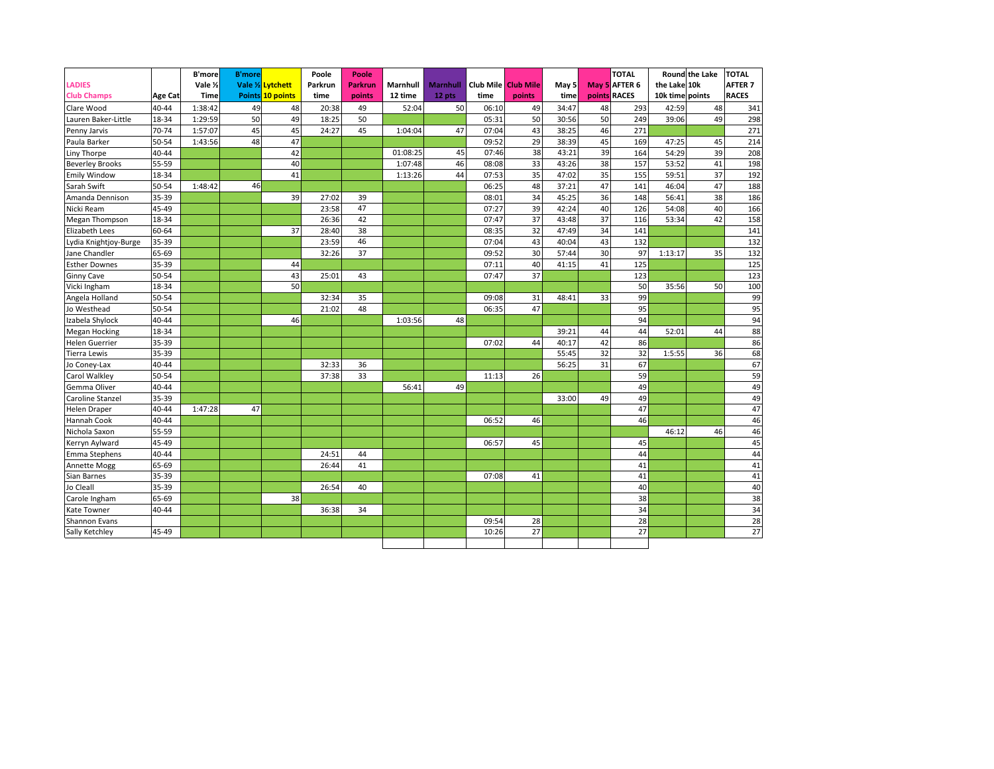| LADIES                 |                |             | <b>B'more</b> |                   | Poole   | Poole          |          |                 |           |                  |       |              | <b>TOTAL</b>  |                 | <b>Round</b> the Lake | <b>TOTAL</b>   |
|------------------------|----------------|-------------|---------------|-------------------|---------|----------------|----------|-----------------|-----------|------------------|-------|--------------|---------------|-----------------|-----------------------|----------------|
|                        |                | Vale 1/2    |               | Vale 1/2 Lytchett | Parkrun | <b>Parkrun</b> | Marnhull | <b>Marnhull</b> | Club Mile | <b>Club Mile</b> | May 5 |              | May 5 AFTER 6 | the Lake 10k    |                       | <b>AFTER 7</b> |
| <b>Club Champs</b>     | <b>Age Cat</b> | <b>Time</b> |               | Points 10 points  | time    | points         | 12 time  | 12 pts          | time      | points           | time  | points RACES |               | 10k time points |                       | <b>RACES</b>   |
| Clare Wood             | 40-44          | 1:38:42     | 49            | 48                | 20:38   | 49             | 52:04    | 50              | 06:10     | 49               | 34:47 | 48           | 293           | 42:59           | 48                    | 341            |
| Lauren Baker-Little    | 18-34          | 1:29:59     | 50            | 49                | 18:25   | 50             |          |                 | 05:31     | 50               | 30:56 | 50           | 249           | 39:06           | 49                    | 298            |
| Penny Jarvis           | 70-74          | 1:57:07     | 45            | 45                | 24:27   | 45             | 1:04:04  | 47              | 07:04     | 43               | 38:25 | 46           | 271           |                 |                       | 271            |
| Paula Barker           | 50-54          | 1:43:56     | 48            | 47                |         |                |          |                 | 09:52     | 29               | 38:39 | 45           | 169           | 47:25           | 45                    | 214            |
| Liny Thorpe            | 40-44          |             |               | 42                |         |                | 01:08:25 | 45              | 07:46     | 38               | 43:21 | 39           | 164           | 54:29           | 39                    | 208            |
| <b>Beverley Brooks</b> | 55-59          |             |               | 40                |         |                | 1:07:48  | 46              | 08:08     | 33               | 43:26 | 38           | 157           | 53:52           | 41                    | 198            |
| <b>Emily Window</b>    | 18-34          |             |               | 41                |         |                | 1:13:26  | 44              | 07:53     | 35               | 47:02 | 35           | 155           | 59:51           | 37                    | 192            |
| Sarah Swift            | 50-54          | 1:48:42     | 46            |                   |         |                |          |                 | 06:25     | 48               | 37:21 | 47           | 141           | 46:04           | 47                    | 188            |
| Amanda Dennison        | 35-39          |             |               | 39                | 27:02   | 39             |          |                 | 08:01     | 34               | 45:25 | 36           | 148           | 56:41           | 38                    | 186            |
| Nicki Ream             | 45-49          |             |               |                   | 23:58   | 47             |          |                 | 07:27     | 39               | 42:24 | 40           | 126           | 54:08           | 40                    | 166            |
| Megan Thompson         | 18-34          |             |               |                   | 26:36   | 42             |          |                 | 07:47     | 37               | 43:48 | 37           | 116           | 53:34           | 42                    | 158            |
| Elizabeth Lees         | 60-64          |             |               | 37                | 28:40   | 38             |          |                 | 08:35     | 32               | 47:49 | 34           | 141           |                 |                       | 141            |
| Lydia Knightjoy-Burge  | 35-39          |             |               |                   | 23:59   | 46             |          |                 | 07:04     | 43               | 40:04 | 43           | 132           |                 |                       | 132            |
| Jane Chandler          | 65-69          |             |               |                   | 32:26   | 37             |          |                 | 09:52     | 30               | 57:44 | 30           | 97            | 1:13:17         | 35                    | 132            |
| <b>Esther Downes</b>   | 35-39          |             |               | 44                |         |                |          |                 | 07:11     | 40               | 41:15 | 41           | 125           |                 |                       | 125            |
| <b>Ginny Cave</b>      | 50-54          |             |               | 43                | 25:01   | 43             |          |                 | 07:47     | 37               |       |              | 123           |                 |                       | 123            |
| Vicki Ingham           | 18-34          |             |               | 50                |         |                |          |                 |           |                  |       |              | 50            | 35:56           | 50                    | 100            |
| Angela Holland         | 50-54          |             |               |                   | 32:34   | 35             |          |                 | 09:08     | 31               | 48:41 | 33           | 99            |                 |                       | 99             |
| Jo Westhead            | 50-54          |             |               |                   | 21:02   | 48             |          |                 | 06:35     | 47               |       |              | 95            |                 |                       | 95             |
| Izabela Shylock        | 40-44          |             |               | 46                |         |                | 1:03:56  | 48              |           |                  |       |              | 94            |                 |                       | 94             |
| <b>Megan Hocking</b>   | 18-34          |             |               |                   |         |                |          |                 |           |                  | 39:21 | 44           | 44            | 52:01           | 44                    | 88             |
| <b>Helen Guerrier</b>  | 35-39          |             |               |                   |         |                |          |                 | 07:02     | 44               | 40:17 | 42           | 86            |                 |                       | 86             |
| <b>Tierra Lewis</b>    | 35-39          |             |               |                   |         |                |          |                 |           |                  | 55:45 | 32           | 32            | 1:5:55          | 36                    | 68             |
| Jo Coney-Lax           | 40-44          |             |               |                   | 32:33   | 36             |          |                 |           |                  | 56:25 | 31           | 67            |                 |                       | 67             |
| Carol Walkley          | 50-54          |             |               |                   | 37:38   | 33             |          |                 | 11:13     | 26               |       |              | 59            |                 |                       | 59             |
| Gemma Oliver           | 40-44          |             |               |                   |         |                | 56:41    | 49              |           |                  |       |              | 49            |                 |                       | 49             |
| Caroline Stanzel       | 35-39          |             |               |                   |         |                |          |                 |           |                  | 33:00 | 49           | 49            |                 |                       | 49             |
| <b>Helen Draper</b>    | 40-44          | 1:47:28     | 47            |                   |         |                |          |                 |           |                  |       |              | 47            |                 |                       | 47             |
| Hannah Cook            | 40-44          |             |               |                   |         |                |          |                 | 06:52     | 46               |       |              | 46            |                 |                       | 46             |
| Nichola Saxon          | $55 - 59$      |             |               |                   |         |                |          |                 |           |                  |       |              |               | 46:12           | 46                    | 46             |
| Kerryn Aylward         | 45-49          |             |               |                   |         |                |          |                 | 06:57     | 45               |       |              | 45            |                 |                       | 45             |
| Emma Stephens          | 40-44          |             |               |                   | 24:51   | 44             |          |                 |           |                  |       |              | 44            |                 |                       | 44             |
| Annette Mogg           | 65-69          |             |               |                   | 26:44   | 41             |          |                 |           |                  |       |              | 41            |                 |                       | 41             |
| Sian Barnes            | 35-39          |             |               |                   |         |                |          |                 | 07:08     | 41               |       |              | 41            |                 |                       | 41             |
| Jo Cleall              | 35-39          |             |               |                   | 26:54   | 40             |          |                 |           |                  |       |              | 40            |                 |                       | 40             |
| Carole Ingham          | 65-69          |             |               | 38                |         |                |          |                 |           |                  |       |              | 38            |                 |                       | 38             |
| Kate Towner            | 40-44          |             |               |                   | 36:38   | 34             |          |                 |           |                  |       |              | 34            |                 |                       | 34             |
| Shannon Evans          |                |             |               |                   |         |                |          |                 | 09:54     | 28               |       |              | 28            |                 |                       | 28             |
| Sally Ketchley         | 45-49          |             |               |                   |         |                |          |                 | 10:26     | 27               |       |              | 27            |                 |                       | 27             |